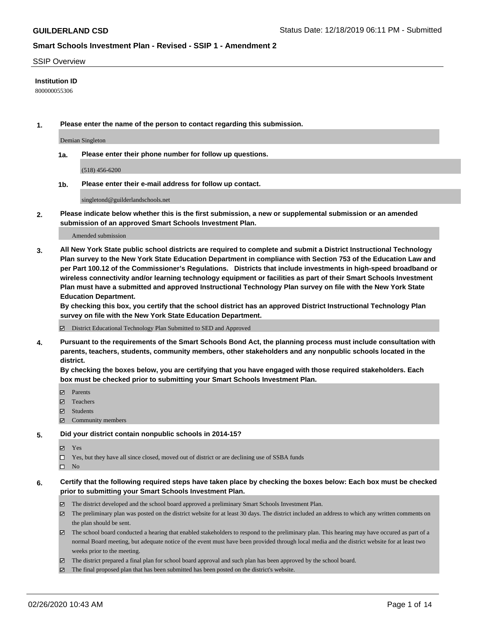### SSIP Overview

### **Institution ID**

800000055306

**1. Please enter the name of the person to contact regarding this submission.**

Demian Singleton

**1a. Please enter their phone number for follow up questions.**

(518) 456-6200

**1b. Please enter their e-mail address for follow up contact.**

singletond@guilderlandschools.net

**2. Please indicate below whether this is the first submission, a new or supplemental submission or an amended submission of an approved Smart Schools Investment Plan.**

#### Amended submission

**3. All New York State public school districts are required to complete and submit a District Instructional Technology Plan survey to the New York State Education Department in compliance with Section 753 of the Education Law and per Part 100.12 of the Commissioner's Regulations. Districts that include investments in high-speed broadband or wireless connectivity and/or learning technology equipment or facilities as part of their Smart Schools Investment Plan must have a submitted and approved Instructional Technology Plan survey on file with the New York State Education Department.** 

**By checking this box, you certify that the school district has an approved District Instructional Technology Plan survey on file with the New York State Education Department.**

District Educational Technology Plan Submitted to SED and Approved

**4. Pursuant to the requirements of the Smart Schools Bond Act, the planning process must include consultation with parents, teachers, students, community members, other stakeholders and any nonpublic schools located in the district.** 

**By checking the boxes below, you are certifying that you have engaged with those required stakeholders. Each box must be checked prior to submitting your Smart Schools Investment Plan.**

- **マ** Parents
- Teachers
- Students
- $\Xi$  Community members

#### **5. Did your district contain nonpublic schools in 2014-15?**

**冈** Yes

Yes, but they have all since closed, moved out of district or are declining use of SSBA funds

 $\square$  No

- **6. Certify that the following required steps have taken place by checking the boxes below: Each box must be checked prior to submitting your Smart Schools Investment Plan.**
	- The district developed and the school board approved a preliminary Smart Schools Investment Plan.
	- $\boxtimes$  The preliminary plan was posted on the district website for at least 30 days. The district included an address to which any written comments on the plan should be sent.
	- $\boxtimes$  The school board conducted a hearing that enabled stakeholders to respond to the preliminary plan. This hearing may have occured as part of a normal Board meeting, but adequate notice of the event must have been provided through local media and the district website for at least two weeks prior to the meeting.
	- The district prepared a final plan for school board approval and such plan has been approved by the school board.
	- $\boxtimes$  The final proposed plan that has been submitted has been posted on the district's website.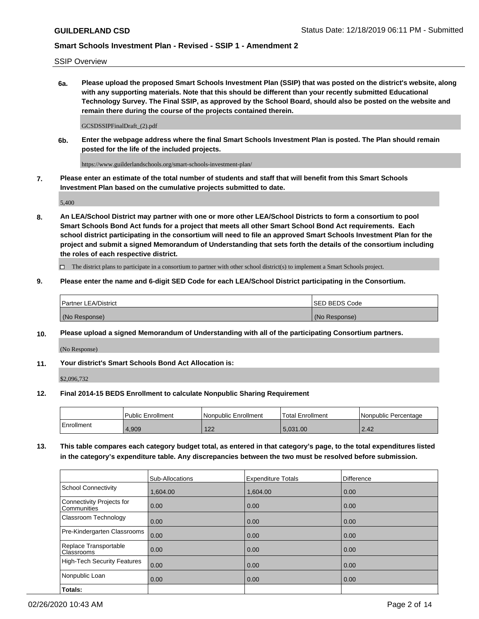SSIP Overview

**6a. Please upload the proposed Smart Schools Investment Plan (SSIP) that was posted on the district's website, along with any supporting materials. Note that this should be different than your recently submitted Educational Technology Survey. The Final SSIP, as approved by the School Board, should also be posted on the website and remain there during the course of the projects contained therein.**

GCSDSSIPFinalDraft\_(2).pdf

**6b. Enter the webpage address where the final Smart Schools Investment Plan is posted. The Plan should remain posted for the life of the included projects.**

https://www.guilderlandschools.org/smart-schools-investment-plan/

**7. Please enter an estimate of the total number of students and staff that will benefit from this Smart Schools Investment Plan based on the cumulative projects submitted to date.**

5,400

**8. An LEA/School District may partner with one or more other LEA/School Districts to form a consortium to pool Smart Schools Bond Act funds for a project that meets all other Smart School Bond Act requirements. Each school district participating in the consortium will need to file an approved Smart Schools Investment Plan for the project and submit a signed Memorandum of Understanding that sets forth the details of the consortium including the roles of each respective district.**

 $\Box$  The district plans to participate in a consortium to partner with other school district(s) to implement a Smart Schools project.

### **9. Please enter the name and 6-digit SED Code for each LEA/School District participating in the Consortium.**

| <b>Partner LEA/District</b> | ISED BEDS Code |
|-----------------------------|----------------|
| (No Response)               | (No Response)  |

#### **10. Please upload a signed Memorandum of Understanding with all of the participating Consortium partners.**

(No Response)

**11. Your district's Smart Schools Bond Act Allocation is:**

\$2,096,732

#### **12. Final 2014-15 BEDS Enrollment to calculate Nonpublic Sharing Requirement**

|            | Public Enrollment | Nonpublic Enrollment | Total Enrollment | I Nonpublic Percentage |
|------------|-------------------|----------------------|------------------|------------------------|
| Enrollment | .909              | 100<br>LL            | 5.031.00         | 2.42                   |

**13. This table compares each category budget total, as entered in that category's page, to the total expenditures listed in the category's expenditure table. Any discrepancies between the two must be resolved before submission.**

|                                          | Sub-Allocations | <b>Expenditure Totals</b> | Difference |
|------------------------------------------|-----------------|---------------------------|------------|
| <b>School Connectivity</b>               | 1,604.00        | 1,604.00                  | 0.00       |
| Connectivity Projects for<br>Communities | 0.00            | 0.00                      | 0.00       |
| Classroom Technology                     | 0.00            | 0.00                      | 0.00       |
| Pre-Kindergarten Classrooms              | 0.00            | 0.00                      | 0.00       |
| Replace Transportable<br>Classrooms      | 0.00            | 0.00                      | 0.00       |
| <b>High-Tech Security Features</b>       | 0.00            | 0.00                      | 0.00       |
| Nonpublic Loan                           | 0.00            | 0.00                      | 0.00       |
| Totals:                                  |                 |                           |            |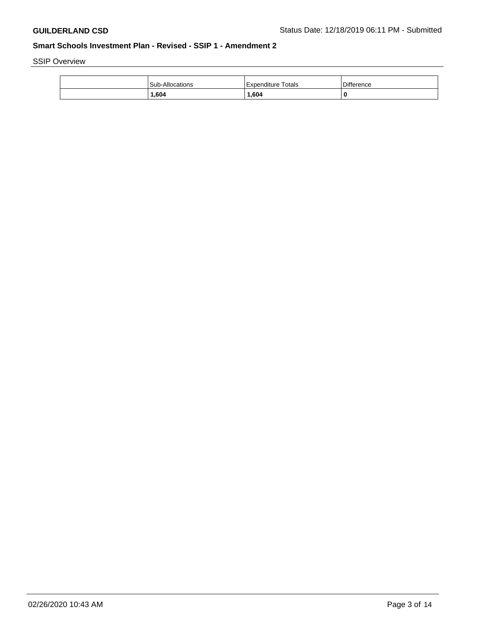SSIP Overview

| Sub-Allor<br>cations | Totals<br>. Expenditure | Difference |
|----------------------|-------------------------|------------|
| 604, ،               | 1,604                   |            |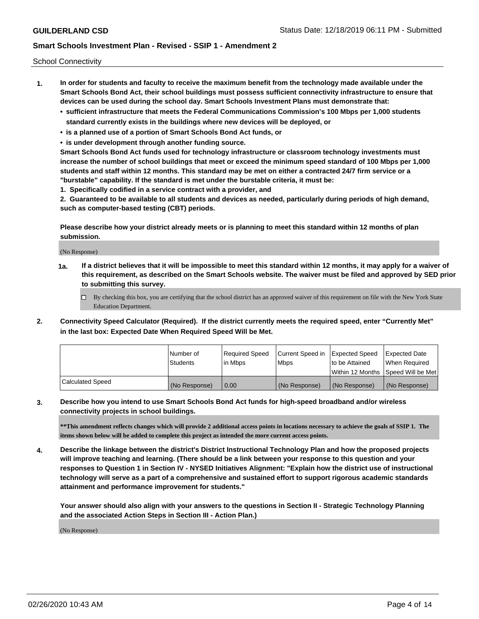School Connectivity

- **1. In order for students and faculty to receive the maximum benefit from the technology made available under the Smart Schools Bond Act, their school buildings must possess sufficient connectivity infrastructure to ensure that devices can be used during the school day. Smart Schools Investment Plans must demonstrate that:**
	- **• sufficient infrastructure that meets the Federal Communications Commission's 100 Mbps per 1,000 students standard currently exists in the buildings where new devices will be deployed, or**
	- **• is a planned use of a portion of Smart Schools Bond Act funds, or**
	- **• is under development through another funding source.**

**Smart Schools Bond Act funds used for technology infrastructure or classroom technology investments must increase the number of school buildings that meet or exceed the minimum speed standard of 100 Mbps per 1,000 students and staff within 12 months. This standard may be met on either a contracted 24/7 firm service or a "burstable" capability. If the standard is met under the burstable criteria, it must be:**

**1. Specifically codified in a service contract with a provider, and**

**2. Guaranteed to be available to all students and devices as needed, particularly during periods of high demand, such as computer-based testing (CBT) periods.**

**Please describe how your district already meets or is planning to meet this standard within 12 months of plan submission.**

(No Response)

**1a. If a district believes that it will be impossible to meet this standard within 12 months, it may apply for a waiver of this requirement, as described on the Smart Schools website. The waiver must be filed and approved by SED prior to submitting this survey.**

 $\Box$  By checking this box, you are certifying that the school district has an approved waiver of this requirement on file with the New York State Education Department.

**2. Connectivity Speed Calculator (Required). If the district currently meets the required speed, enter "Currently Met" in the last box: Expected Date When Required Speed Will be Met.**

|                  | l Number of     | Required Speed | Current Speed in | Expected Speed | Expected Date                           |
|------------------|-----------------|----------------|------------------|----------------|-----------------------------------------|
|                  | <b>Students</b> | In Mbps        | l Mbps           | to be Attained | When Required                           |
|                  |                 |                |                  |                | l Within 12 Months ISpeed Will be Met l |
| Calculated Speed | (No Response)   | 0.00           | (No Response)    | (No Response)  | (No Response)                           |

**3. Describe how you intend to use Smart Schools Bond Act funds for high-speed broadband and/or wireless connectivity projects in school buildings.**

**\*\*This amendment reflects changes which will provide 2 additional access points in locations necessary to achieve the goals of SSIP 1. The items shown below will be added to complete this project as intended the more current access points.**

**4. Describe the linkage between the district's District Instructional Technology Plan and how the proposed projects will improve teaching and learning. (There should be a link between your response to this question and your responses to Question 1 in Section IV - NYSED Initiatives Alignment: "Explain how the district use of instructional technology will serve as a part of a comprehensive and sustained effort to support rigorous academic standards attainment and performance improvement for students."** 

**Your answer should also align with your answers to the questions in Section II - Strategic Technology Planning and the associated Action Steps in Section III - Action Plan.)**

(No Response)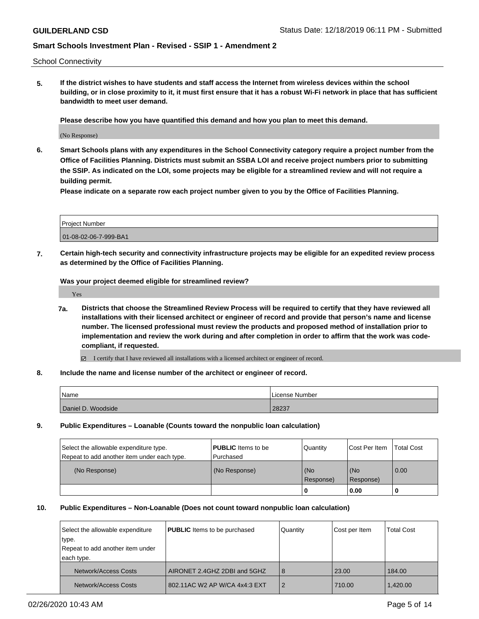School Connectivity

**5. If the district wishes to have students and staff access the Internet from wireless devices within the school building, or in close proximity to it, it must first ensure that it has a robust Wi-Fi network in place that has sufficient bandwidth to meet user demand.**

**Please describe how you have quantified this demand and how you plan to meet this demand.**

(No Response)

**6. Smart Schools plans with any expenditures in the School Connectivity category require a project number from the Office of Facilities Planning. Districts must submit an SSBA LOI and receive project numbers prior to submitting the SSIP. As indicated on the LOI, some projects may be eligible for a streamlined review and will not require a building permit.**

**Please indicate on a separate row each project number given to you by the Office of Facilities Planning.**

| Project Number        |  |
|-----------------------|--|
| 01-08-02-06-7-999-BA1 |  |

**7. Certain high-tech security and connectivity infrastructure projects may be eligible for an expedited review process as determined by the Office of Facilities Planning.**

**Was your project deemed eligible for streamlined review?**

Yes

- **7a. Districts that choose the Streamlined Review Process will be required to certify that they have reviewed all installations with their licensed architect or engineer of record and provide that person's name and license number. The licensed professional must review the products and proposed method of installation prior to implementation and review the work during and after completion in order to affirm that the work was codecompliant, if requested.**
	- I certify that I have reviewed all installations with a licensed architect or engineer of record.
- **8. Include the name and license number of the architect or engineer of record.**

| Name               | License Number |
|--------------------|----------------|
| Daniel D. Woodside | 28237          |

**9. Public Expenditures – Loanable (Counts toward the nonpublic loan calculation)**

| Select the allowable expenditure type.      | <b>PUBLIC</b> Items to be | Quantity         | Cost Per Item    | <b>Total Cost</b> |
|---------------------------------------------|---------------------------|------------------|------------------|-------------------|
| Repeat to add another item under each type. | Purchased                 |                  |                  |                   |
| (No Response)                               | (No Response)             | (No<br>Response) | (No<br>Response) | 0.00              |
|                                             |                           |                  | 0.00             |                   |

### **10. Public Expenditures – Non-Loanable (Does not count toward nonpublic loan calculation)**

| Select the allowable expenditure          | <b>PUBLIC</b> Items to be purchased | Quantity       | Cost per Item | <b>Total Cost</b> |
|-------------------------------------------|-------------------------------------|----------------|---------------|-------------------|
| type.<br>Repeat to add another item under |                                     |                |               |                   |
| each type.                                |                                     |                |               |                   |
| Network/Access Costs                      | AIRONET 2.4GHZ 2DBI and 5GHZ        | 8              | 23.00         | 184.00            |
| Network/Access Costs                      | 802.11AC W2 AP W/CA 4x4:3 EXT       | $\overline{2}$ | 710.00        | 1,420.00          |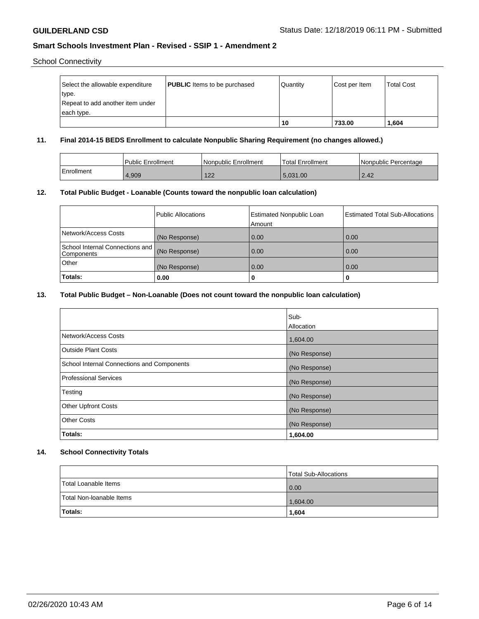School Connectivity

| Select the allowable expenditure | <b>PUBLIC</b> Items to be purchased | Quantity | Cost per Item | <b>Total Cost</b> |
|----------------------------------|-------------------------------------|----------|---------------|-------------------|
| type.                            |                                     |          |               |                   |
| Repeat to add another item under |                                     |          |               |                   |
| each type.                       |                                     |          |               |                   |
|                                  |                                     | 10       | 733.00        | 1,604             |

## **11. Final 2014-15 BEDS Enrollment to calculate Nonpublic Sharing Requirement (no changes allowed.)**

|            | <b>Public Enrollment</b> | Nonpublic Enrollment | Total Enrollment | Nonpublic Percentage |
|------------|--------------------------|----------------------|------------------|----------------------|
| Enrollment | 1,909                    | 100<br>122           | 5.031.00         | 2.42                 |

## **12. Total Public Budget - Loanable (Counts toward the nonpublic loan calculation)**

|                                               | Public Allocations | <b>Estimated Nonpublic Loan</b><br>Amount | <b>Estimated Total Sub-Allocations</b> |
|-----------------------------------------------|--------------------|-------------------------------------------|----------------------------------------|
| Network/Access Costs                          | (No Response)      | 0.00                                      | 0.00                                   |
| School Internal Connections and<br>Components | (No Response)      | 0.00                                      | 0.00                                   |
| Other                                         | (No Response)      | 0.00                                      | 0.00                                   |
| Totals:                                       | 0.00               | u                                         | 0                                      |

### **13. Total Public Budget – Non-Loanable (Does not count toward the nonpublic loan calculation)**

|                                            | Sub-          |
|--------------------------------------------|---------------|
|                                            | Allocation    |
| Network/Access Costs                       | 1,604.00      |
| <b>Outside Plant Costs</b>                 | (No Response) |
| School Internal Connections and Components | (No Response) |
| Professional Services                      | (No Response) |
| Testing                                    | (No Response) |
| <b>Other Upfront Costs</b>                 | (No Response) |
| <b>Other Costs</b>                         | (No Response) |
| Totals:                                    | 1,604.00      |

## **14. School Connectivity Totals**

|                          | Total Sub-Allocations |
|--------------------------|-----------------------|
| Total Loanable Items     | 0.00                  |
| Total Non-Ioanable Items | 1,604.00              |
| Totals:                  | 1,604                 |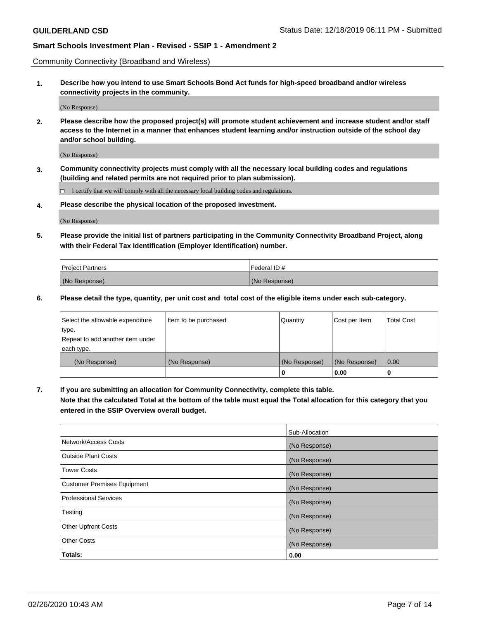Community Connectivity (Broadband and Wireless)

**1. Describe how you intend to use Smart Schools Bond Act funds for high-speed broadband and/or wireless connectivity projects in the community.**

(No Response)

**2. Please describe how the proposed project(s) will promote student achievement and increase student and/or staff access to the Internet in a manner that enhances student learning and/or instruction outside of the school day and/or school building.**

(No Response)

**3. Community connectivity projects must comply with all the necessary local building codes and regulations (building and related permits are not required prior to plan submission).**

 $\Box$  I certify that we will comply with all the necessary local building codes and regulations.

**4. Please describe the physical location of the proposed investment.**

(No Response)

**5. Please provide the initial list of partners participating in the Community Connectivity Broadband Project, along with their Federal Tax Identification (Employer Identification) number.**

| <b>Project Partners</b> | l Federal ID # |
|-------------------------|----------------|
| (No Response)           | (No Response)  |

**6. Please detail the type, quantity, per unit cost and total cost of the eligible items under each sub-category.**

| Select the allowable expenditure | Item to be purchased | Quantity      | Cost per Item | <b>Total Cost</b> |
|----------------------------------|----------------------|---------------|---------------|-------------------|
| type.                            |                      |               |               |                   |
| Repeat to add another item under |                      |               |               |                   |
| each type.                       |                      |               |               |                   |
| (No Response)                    | (No Response)        | (No Response) | (No Response) | 0.00              |
|                                  |                      | o             | 0.00          |                   |

**7. If you are submitting an allocation for Community Connectivity, complete this table.**

**Note that the calculated Total at the bottom of the table must equal the Total allocation for this category that you entered in the SSIP Overview overall budget.**

|                                    | Sub-Allocation |
|------------------------------------|----------------|
| Network/Access Costs               | (No Response)  |
| Outside Plant Costs                | (No Response)  |
| <b>Tower Costs</b>                 | (No Response)  |
| <b>Customer Premises Equipment</b> | (No Response)  |
| <b>Professional Services</b>       | (No Response)  |
| Testing                            | (No Response)  |
| <b>Other Upfront Costs</b>         | (No Response)  |
| <b>Other Costs</b>                 | (No Response)  |
| Totals:                            | 0.00           |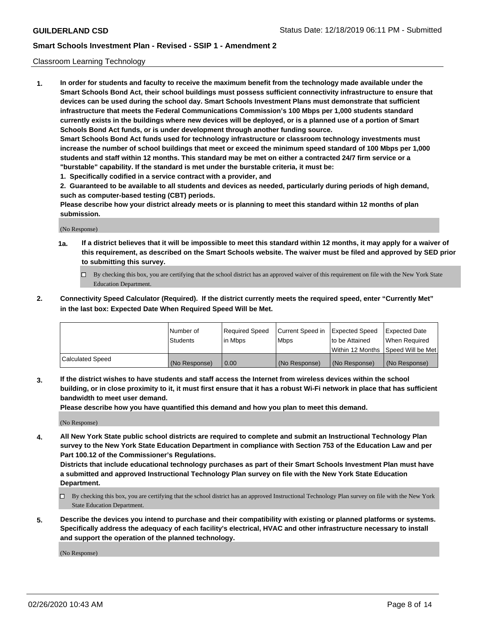### Classroom Learning Technology

**1. In order for students and faculty to receive the maximum benefit from the technology made available under the Smart Schools Bond Act, their school buildings must possess sufficient connectivity infrastructure to ensure that devices can be used during the school day. Smart Schools Investment Plans must demonstrate that sufficient infrastructure that meets the Federal Communications Commission's 100 Mbps per 1,000 students standard currently exists in the buildings where new devices will be deployed, or is a planned use of a portion of Smart Schools Bond Act funds, or is under development through another funding source. Smart Schools Bond Act funds used for technology infrastructure or classroom technology investments must increase the number of school buildings that meet or exceed the minimum speed standard of 100 Mbps per 1,000 students and staff within 12 months. This standard may be met on either a contracted 24/7 firm service or a**

- **"burstable" capability. If the standard is met under the burstable criteria, it must be:**
- **1. Specifically codified in a service contract with a provider, and**

**2. Guaranteed to be available to all students and devices as needed, particularly during periods of high demand, such as computer-based testing (CBT) periods.**

**Please describe how your district already meets or is planning to meet this standard within 12 months of plan submission.**

(No Response)

- **1a. If a district believes that it will be impossible to meet this standard within 12 months, it may apply for a waiver of this requirement, as described on the Smart Schools website. The waiver must be filed and approved by SED prior to submitting this survey.**
	- By checking this box, you are certifying that the school district has an approved waiver of this requirement on file with the New York State Education Department.
- **2. Connectivity Speed Calculator (Required). If the district currently meets the required speed, enter "Currently Met" in the last box: Expected Date When Required Speed Will be Met.**

|                  | l Number of     | Required Speed | Current Speed in | <b>Expected Speed</b> | <b>Expected Date</b>                |
|------------------|-----------------|----------------|------------------|-----------------------|-------------------------------------|
|                  | <b>Students</b> | l in Mbps      | l Mbps           | to be Attained        | When Required                       |
|                  |                 |                |                  |                       | Within 12 Months  Speed Will be Met |
| Calculated Speed | (No Response)   | 0.00           | (No Response)    | l (No Response)       | (No Response)                       |

**3. If the district wishes to have students and staff access the Internet from wireless devices within the school building, or in close proximity to it, it must first ensure that it has a robust Wi-Fi network in place that has sufficient bandwidth to meet user demand.**

**Please describe how you have quantified this demand and how you plan to meet this demand.**

(No Response)

**4. All New York State public school districts are required to complete and submit an Instructional Technology Plan survey to the New York State Education Department in compliance with Section 753 of the Education Law and per Part 100.12 of the Commissioner's Regulations.**

**Districts that include educational technology purchases as part of their Smart Schools Investment Plan must have a submitted and approved Instructional Technology Plan survey on file with the New York State Education Department.**

- By checking this box, you are certifying that the school district has an approved Instructional Technology Plan survey on file with the New York State Education Department.
- **5. Describe the devices you intend to purchase and their compatibility with existing or planned platforms or systems. Specifically address the adequacy of each facility's electrical, HVAC and other infrastructure necessary to install and support the operation of the planned technology.**

(No Response)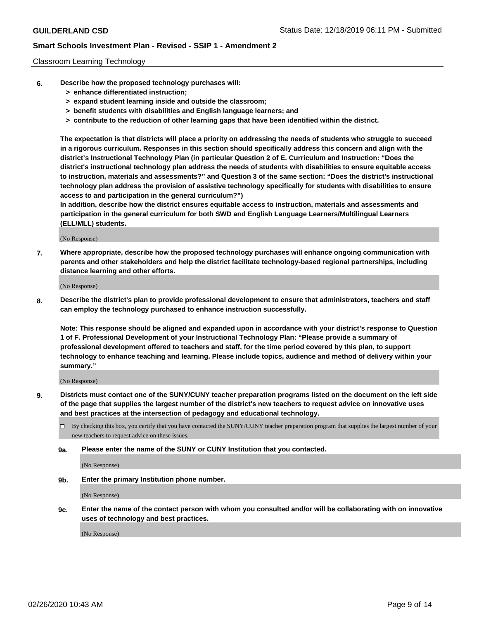### Classroom Learning Technology

- **6. Describe how the proposed technology purchases will:**
	- **> enhance differentiated instruction;**
	- **> expand student learning inside and outside the classroom;**
	- **> benefit students with disabilities and English language learners; and**
	- **> contribute to the reduction of other learning gaps that have been identified within the district.**

**The expectation is that districts will place a priority on addressing the needs of students who struggle to succeed in a rigorous curriculum. Responses in this section should specifically address this concern and align with the district's Instructional Technology Plan (in particular Question 2 of E. Curriculum and Instruction: "Does the district's instructional technology plan address the needs of students with disabilities to ensure equitable access to instruction, materials and assessments?" and Question 3 of the same section: "Does the district's instructional technology plan address the provision of assistive technology specifically for students with disabilities to ensure access to and participation in the general curriculum?")**

**In addition, describe how the district ensures equitable access to instruction, materials and assessments and participation in the general curriculum for both SWD and English Language Learners/Multilingual Learners (ELL/MLL) students.**

(No Response)

**7. Where appropriate, describe how the proposed technology purchases will enhance ongoing communication with parents and other stakeholders and help the district facilitate technology-based regional partnerships, including distance learning and other efforts.**

(No Response)

**8. Describe the district's plan to provide professional development to ensure that administrators, teachers and staff can employ the technology purchased to enhance instruction successfully.**

**Note: This response should be aligned and expanded upon in accordance with your district's response to Question 1 of F. Professional Development of your Instructional Technology Plan: "Please provide a summary of professional development offered to teachers and staff, for the time period covered by this plan, to support technology to enhance teaching and learning. Please include topics, audience and method of delivery within your summary."**

(No Response)

- **9. Districts must contact one of the SUNY/CUNY teacher preparation programs listed on the document on the left side of the page that supplies the largest number of the district's new teachers to request advice on innovative uses and best practices at the intersection of pedagogy and educational technology.**
	- By checking this box, you certify that you have contacted the SUNY/CUNY teacher preparation program that supplies the largest number of your new teachers to request advice on these issues.
	- **9a. Please enter the name of the SUNY or CUNY Institution that you contacted.**

(No Response)

**9b. Enter the primary Institution phone number.**

(No Response)

**9c. Enter the name of the contact person with whom you consulted and/or will be collaborating with on innovative uses of technology and best practices.**

(No Response)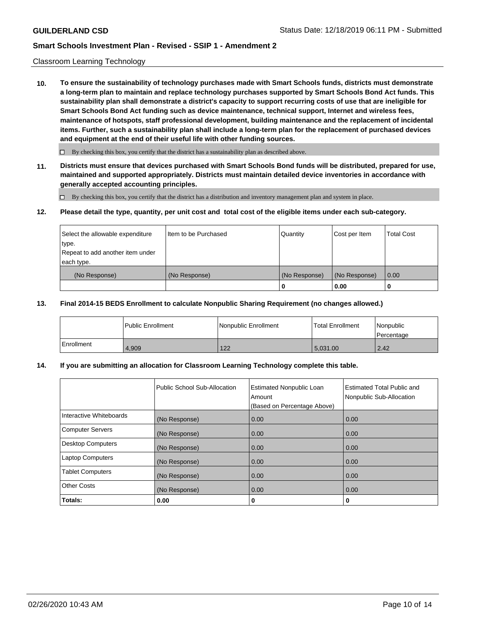### Classroom Learning Technology

**10. To ensure the sustainability of technology purchases made with Smart Schools funds, districts must demonstrate a long-term plan to maintain and replace technology purchases supported by Smart Schools Bond Act funds. This sustainability plan shall demonstrate a district's capacity to support recurring costs of use that are ineligible for Smart Schools Bond Act funding such as device maintenance, technical support, Internet and wireless fees, maintenance of hotspots, staff professional development, building maintenance and the replacement of incidental items. Further, such a sustainability plan shall include a long-term plan for the replacement of purchased devices and equipment at the end of their useful life with other funding sources.**

 $\Box$  By checking this box, you certify that the district has a sustainability plan as described above.

**11. Districts must ensure that devices purchased with Smart Schools Bond funds will be distributed, prepared for use, maintained and supported appropriately. Districts must maintain detailed device inventories in accordance with generally accepted accounting principles.**

By checking this box, you certify that the district has a distribution and inventory management plan and system in place.

#### **12. Please detail the type, quantity, per unit cost and total cost of the eligible items under each sub-category.**

| Select the allowable expenditure<br>∣type. | Item to be Purchased | Quantity      | Cost per Item | <b>Total Cost</b> |
|--------------------------------------------|----------------------|---------------|---------------|-------------------|
| Repeat to add another item under           |                      |               |               |                   |
| each type.                                 |                      |               |               |                   |
| (No Response)                              | (No Response)        | (No Response) | (No Response) | 0.00              |
|                                            |                      | 0             | 0.00          |                   |

### **13. Final 2014-15 BEDS Enrollment to calculate Nonpublic Sharing Requirement (no changes allowed.)**

|              | l Public Enrollment | Nonpublic Enrollment | <b>Total Enrollment</b> | Nonpublic<br>l Percentage |
|--------------|---------------------|----------------------|-------------------------|---------------------------|
| l Enrollment | 4.909               | 122                  | 5.031.00                | 2.42                      |

### **14. If you are submitting an allocation for Classroom Learning Technology complete this table.**

|                         | Public School Sub-Allocation | <b>Estimated Nonpublic Loan</b><br>Amount<br>(Based on Percentage Above) | Estimated Total Public and<br>Nonpublic Sub-Allocation |
|-------------------------|------------------------------|--------------------------------------------------------------------------|--------------------------------------------------------|
| Interactive Whiteboards | (No Response)                | 0.00                                                                     | 0.00                                                   |
| Computer Servers        | (No Response)                | 0.00                                                                     | 0.00                                                   |
| Desktop Computers       | (No Response)                | 0.00                                                                     | 0.00                                                   |
| <b>Laptop Computers</b> | (No Response)                | 0.00                                                                     | 0.00                                                   |
| <b>Tablet Computers</b> | (No Response)                | 0.00                                                                     | 0.00                                                   |
| Other Costs             | (No Response)                | 0.00                                                                     | 0.00                                                   |
| Totals:                 | 0.00                         | 0                                                                        | 0                                                      |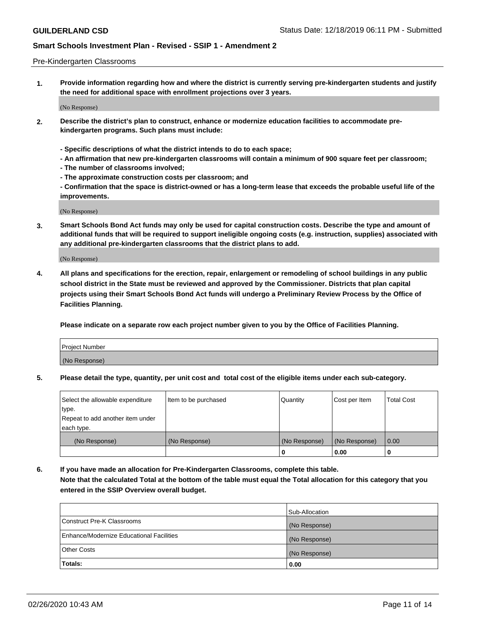### Pre-Kindergarten Classrooms

**1. Provide information regarding how and where the district is currently serving pre-kindergarten students and justify the need for additional space with enrollment projections over 3 years.**

(No Response)

- **2. Describe the district's plan to construct, enhance or modernize education facilities to accommodate prekindergarten programs. Such plans must include:**
	- **Specific descriptions of what the district intends to do to each space;**
	- **An affirmation that new pre-kindergarten classrooms will contain a minimum of 900 square feet per classroom;**
	- **The number of classrooms involved;**
	- **The approximate construction costs per classroom; and**
	- **Confirmation that the space is district-owned or has a long-term lease that exceeds the probable useful life of the improvements.**

(No Response)

**3. Smart Schools Bond Act funds may only be used for capital construction costs. Describe the type and amount of additional funds that will be required to support ineligible ongoing costs (e.g. instruction, supplies) associated with any additional pre-kindergarten classrooms that the district plans to add.**

(No Response)

**4. All plans and specifications for the erection, repair, enlargement or remodeling of school buildings in any public school district in the State must be reviewed and approved by the Commissioner. Districts that plan capital projects using their Smart Schools Bond Act funds will undergo a Preliminary Review Process by the Office of Facilities Planning.**

**Please indicate on a separate row each project number given to you by the Office of Facilities Planning.**

| Project Number |  |
|----------------|--|
| (No Response)  |  |
|                |  |

**5. Please detail the type, quantity, per unit cost and total cost of the eligible items under each sub-category.**

| Select the allowable expenditure | Item to be purchased | Quantity      | Cost per Item | <b>Total Cost</b> |
|----------------------------------|----------------------|---------------|---------------|-------------------|
| type.                            |                      |               |               |                   |
| Repeat to add another item under |                      |               |               |                   |
| each type.                       |                      |               |               |                   |
| (No Response)                    | (No Response)        | (No Response) | (No Response) | 0.00              |
|                                  |                      | υ             | 0.00          |                   |

**6. If you have made an allocation for Pre-Kindergarten Classrooms, complete this table. Note that the calculated Total at the bottom of the table must equal the Total allocation for this category that you entered in the SSIP Overview overall budget.**

|                                          | Sub-Allocation |
|------------------------------------------|----------------|
| Construct Pre-K Classrooms               | (No Response)  |
| Enhance/Modernize Educational Facilities | (No Response)  |
| <b>Other Costs</b>                       | (No Response)  |
| Totals:                                  | 0.00           |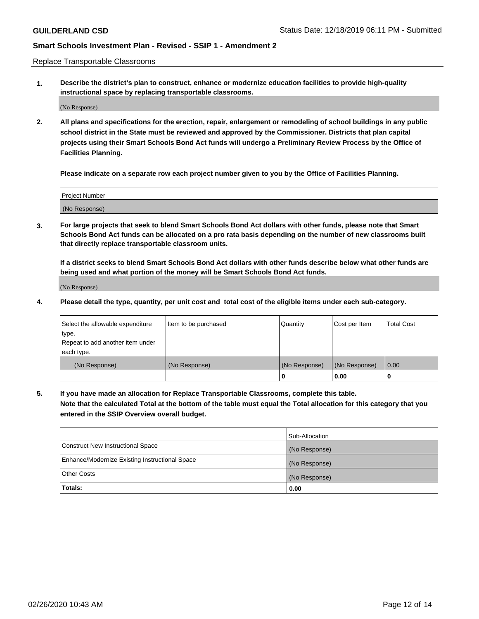Replace Transportable Classrooms

**1. Describe the district's plan to construct, enhance or modernize education facilities to provide high-quality instructional space by replacing transportable classrooms.**

(No Response)

**2. All plans and specifications for the erection, repair, enlargement or remodeling of school buildings in any public school district in the State must be reviewed and approved by the Commissioner. Districts that plan capital projects using their Smart Schools Bond Act funds will undergo a Preliminary Review Process by the Office of Facilities Planning.**

**Please indicate on a separate row each project number given to you by the Office of Facilities Planning.**

| Project Number |  |
|----------------|--|
|                |  |
| (No Response)  |  |

**3. For large projects that seek to blend Smart Schools Bond Act dollars with other funds, please note that Smart Schools Bond Act funds can be allocated on a pro rata basis depending on the number of new classrooms built that directly replace transportable classroom units.**

**If a district seeks to blend Smart Schools Bond Act dollars with other funds describe below what other funds are being used and what portion of the money will be Smart Schools Bond Act funds.**

(No Response)

**4. Please detail the type, quantity, per unit cost and total cost of the eligible items under each sub-category.**

| Select the allowable expenditure | Item to be purchased | Quantity      | Cost per Item | Total Cost |
|----------------------------------|----------------------|---------------|---------------|------------|
| ∣type.                           |                      |               |               |            |
| Repeat to add another item under |                      |               |               |            |
| each type.                       |                      |               |               |            |
| (No Response)                    | (No Response)        | (No Response) | (No Response) | 0.00       |
|                                  |                      | u             | 0.00          |            |

**5. If you have made an allocation for Replace Transportable Classrooms, complete this table. Note that the calculated Total at the bottom of the table must equal the Total allocation for this category that you entered in the SSIP Overview overall budget.**

|                                                | Sub-Allocation |
|------------------------------------------------|----------------|
| Construct New Instructional Space              | (No Response)  |
| Enhance/Modernize Existing Instructional Space | (No Response)  |
| Other Costs                                    | (No Response)  |
| Totals:                                        | 0.00           |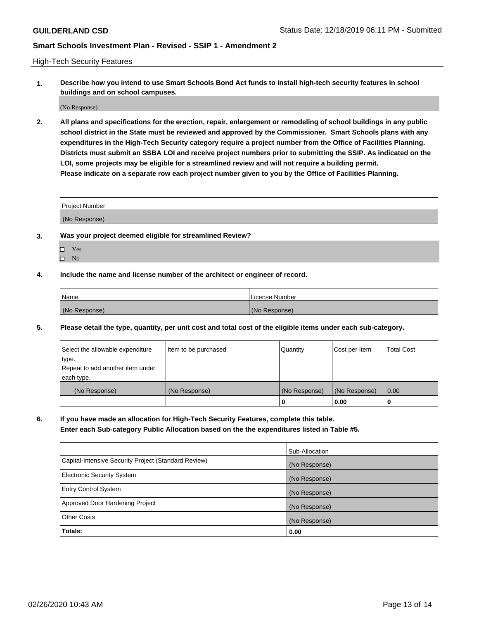High-Tech Security Features

**1. Describe how you intend to use Smart Schools Bond Act funds to install high-tech security features in school buildings and on school campuses.**

(No Response)

**2. All plans and specifications for the erection, repair, enlargement or remodeling of school buildings in any public school district in the State must be reviewed and approved by the Commissioner. Smart Schools plans with any expenditures in the High-Tech Security category require a project number from the Office of Facilities Planning. Districts must submit an SSBA LOI and receive project numbers prior to submitting the SSIP. As indicated on the LOI, some projects may be eligible for a streamlined review and will not require a building permit. Please indicate on a separate row each project number given to you by the Office of Facilities Planning.**

| <b>Project Number</b> |  |
|-----------------------|--|
| (No Response)         |  |

- **3. Was your project deemed eligible for streamlined Review?**
	- Yes
	- $\hfill \square$  No
- **4. Include the name and license number of the architect or engineer of record.**

| Name          | License Number |
|---------------|----------------|
| (No Response) | (No Response)  |

**5. Please detail the type, quantity, per unit cost and total cost of the eligible items under each sub-category.**

| Select the allowable expenditure | Item to be purchased | Quantity      | Cost per Item | <b>Total Cost</b> |
|----------------------------------|----------------------|---------------|---------------|-------------------|
| type.                            |                      |               |               |                   |
| Repeat to add another item under |                      |               |               |                   |
| each type.                       |                      |               |               |                   |
| (No Response)                    | (No Response)        | (No Response) | (No Response) | 0.00              |
|                                  |                      | 0             | 0.00          |                   |

**6. If you have made an allocation for High-Tech Security Features, complete this table.**

**Enter each Sub-category Public Allocation based on the the expenditures listed in Table #5.**

|                                                      | Sub-Allocation |
|------------------------------------------------------|----------------|
| Capital-Intensive Security Project (Standard Review) | (No Response)  |
| <b>Electronic Security System</b>                    | (No Response)  |
| <b>Entry Control System</b>                          | (No Response)  |
| Approved Door Hardening Project                      | (No Response)  |
| <b>Other Costs</b>                                   | (No Response)  |
| Totals:                                              | 0.00           |